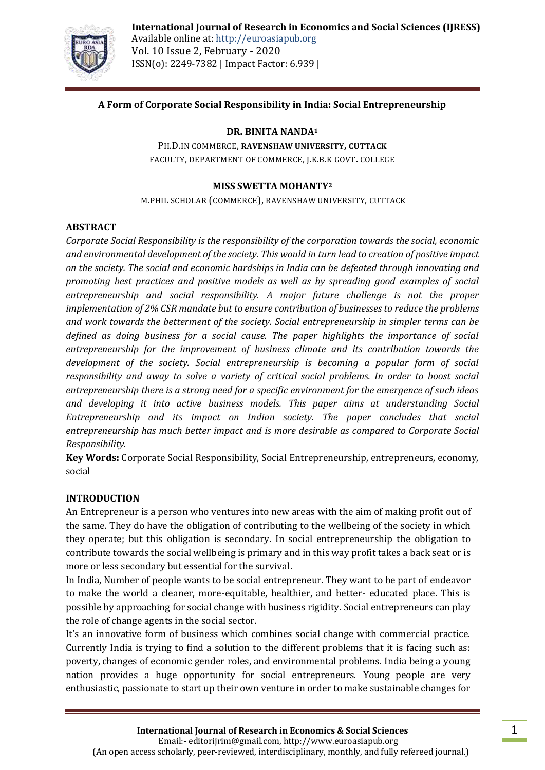

**International Journal of Research in Economics and Social Sciences (IJRESS)** Available online at: http://euroasiapub.org Vol. 10 Issue 2, February - 2020 ISSN(o): 2249-7382 | Impact Factor: 6.939 |

## **A Form of Corporate Social Responsibility in India: Social Entrepreneurship**

#### **DR. BINITA NANDA<sup>1</sup>**

PH.D.IN COMMERCE, **RAVENSHAW UNIVERSITY, CUTTACK** FACULTY, DEPARTMENT OF COMMERCE, J.K.B.K GOVT. COLLEGE

#### **MISS SWETTA MOHANTY<sup>2</sup>**

M.PHIL SCHOLAR (COMMERCE), RAVENSHAW UNIVERSITY, CUTTACK

#### **ABSTRACT**

*Corporate Social Responsibility is the responsibility of the corporation towards the social, economic and environmental development of the society. This would in turn lead to creation of positive impact on the society. The social and economic hardships in India can be defeated through innovating and promoting best practices and positive models as well as by spreading good examples of social entrepreneurship and social responsibility. A major future challenge is not the proper implementation of 2% CSR mandate but to ensure contribution of businesses to reduce the problems and work towards the betterment of the society. Social entrepreneurship in simpler terms can be defined as doing business for a social cause. The paper highlights the importance of social entrepreneurship for the improvement of business climate and its contribution towards the development of the society. Social entrepreneurship is becoming a popular form of social responsibility and away to solve a variety of critical social problems. In order to boost social entrepreneurship there is a strong need for a specific environment for the emergence of such ideas and developing it into active business models. This paper aims at understanding Social Entrepreneurship and its impact on Indian society. The paper concludes that social entrepreneurship has much better impact and is more desirable as compared to Corporate Social Responsibility.*

**Key Words:** Corporate Social Responsibility, Social Entrepreneurship, entrepreneurs, economy, social

#### **INTRODUCTION**

An Entrepreneur is a person who ventures into new areas with the aim of making profit out of the same. They do have the obligation of contributing to the wellbeing of the society in which they operate; but this obligation is secondary. In social entrepreneurship the obligation to contribute towards the social wellbeing is primary and in this way profit takes a back seat or is more or less secondary but essential for the survival.

In India, Number of people wants to be social entrepreneur. They want to be part of endeavor to make the world a cleaner, more-equitable, healthier, and better- educated place. This is possible by approaching for social change with business rigidity. Social entrepreneurs can play the role of change agents in the social sector.

It's an innovative form of business which combines social change with commercial practice. Currently India is trying to find a solution to the different problems that it is facing such as: poverty, changes of economic gender roles, and environmental problems. India being a young nation provides a huge opportunity for social entrepreneurs. Young people are very enthusiastic, passionate to start up their own venture in order to make sustainable changes for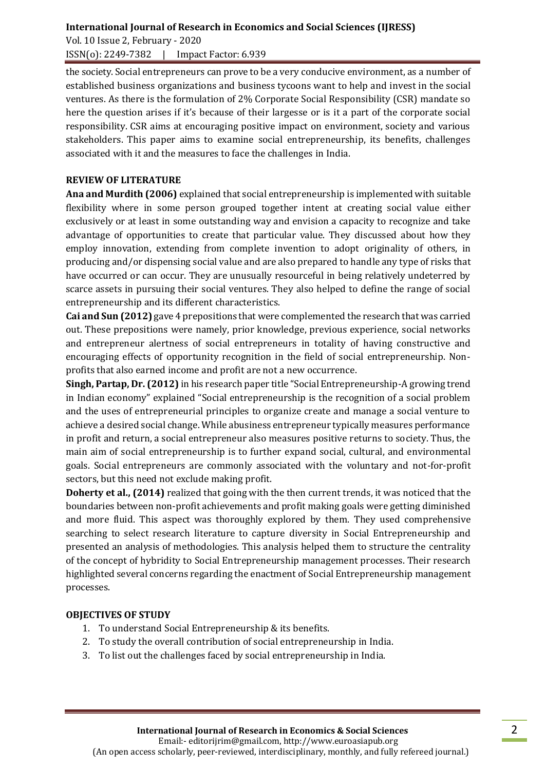Vol. 10 Issue 2, February - 2020 ISSN(o): 2249-7382 | Impact Factor: 6.939

the society. Social entrepreneurs can prove to be a very conducive environment, as a number of established business organizations and business tycoons want to help and invest in the social ventures. As there is the formulation of 2% Corporate Social Responsibility (CSR) mandate so here the question arises if it's because of their largesse or is it a part of the corporate social responsibility. CSR aims at encouraging positive impact on environment, society and various stakeholders. This paper aims to examine social entrepreneurship, its benefits, challenges associated with it and the measures to face the challenges in India.

### **REVIEW OF LITERATURE**

**Ana and Murdith (2006)** explained that social entrepreneurship is implemented with suitable flexibility where in some person grouped together intent at creating social value either exclusively or at least in some outstanding way and envision a capacity to recognize and take advantage of opportunities to create that particular value. They discussed about how they employ innovation, extending from complete invention to adopt originality of others, in producing and/or dispensing social value and are also prepared to handle any type of risks that have occurred or can occur. They are unusually resourceful in being relatively undeterred by scarce assets in pursuing their social ventures. They also helped to define the range of social entrepreneurship and its different characteristics.

**Cai and Sun (2012)** gave 4 prepositions that were complemented the research that was carried out. These prepositions were namely, prior knowledge, previous experience, social networks and entrepreneur alertness of social entrepreneurs in totality of having constructive and encouraging effects of opportunity recognition in the field of social entrepreneurship. Nonprofits that also earned income and profit are not a new occurrence.

**Singh, Partap, Dr. (2012)** in his research paper title "Social Entrepreneurship-A growing trend in Indian economy" explained "Social entrepreneurship is the recognition of a social problem and the uses of entrepreneurial principles to organize create and manage a social venture to achieve a desired social change. While abusiness entrepreneur typically measures performance in profit and return, a social entrepreneur also measures positive returns to society. Thus, the main aim of social entrepreneurship is to further expand social, cultural, and environmental goals. Social entrepreneurs are commonly associated with the voluntary and not-for-profit sectors, but this need not exclude making profit.

**Doherty et al., (2014)** realized that going with the then current trends, it was noticed that the boundaries between non-profit achievements and profit making goals were getting diminished and more fluid. This aspect was thoroughly explored by them. They used comprehensive searching to select research literature to capture diversity in Social Entrepreneurship and presented an analysis of methodologies. This analysis helped them to structure the centrality of the concept of hybridity to Social Entrepreneurship management processes. Their research highlighted several concerns regarding the enactment of Social Entrepreneurship management processes.

# **OBJECTIVES OF STUDY**

- 1. To understand Social Entrepreneurship & its benefits.
- 2. To study the overall contribution of social entrepreneurship in India.
- 3. To list out the challenges faced by social entrepreneurship in India.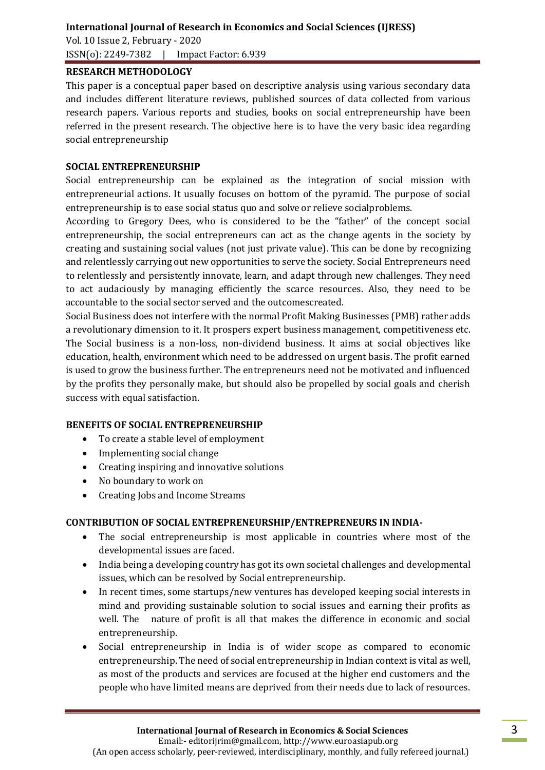Vol. 10 Issue 2, February - 2020 ISSN(o): 2249-7382 | Impact Factor: 6.939

#### **RESEARCH METHODOLOGY**

This paper is a conceptual paper based on descriptive analysis using various secondary data and includes different literature reviews, published sources of data collected from various research papers. Various reports and studies, books on social entrepreneurship have been referred in the present research. The objective here is to have the very basic idea regarding social entrepreneurship

### **SOCIAL ENTREPRENEURSHIP**

Social entrepreneurship can be explained as the integration of social mission with entrepreneurial actions. It usually focuses on bottom of the pyramid. The purpose of social entrepreneurship is to ease social status quo and solve or relieve socialproblems.

According to Gregory Dees, who is considered to be the "father" of the concept social entrepreneurship, the social entrepreneurs can act as the change agents in the society by creating and sustaining social values (not just private value). This can be done by recognizing and relentlessly carrying out new opportunities to serve the society. Social Entrepreneurs need to relentlessly and persistently innovate, learn, and adapt through new challenges. They need to act audaciously by managing efficiently the scarce resources. Also, they need to be accountable to the social sector served and the outcomescreated.

Social Business does not interfere with the normal Profit Making Businesses (PMB) rather adds a revolutionary dimension to it. It prospers expert business management, competitiveness etc. The Social business is a non-loss, non-dividend business. It aims at social objectives like education, health, environment which need to be addressed on urgent basis. The profit earned is used to grow the business further. The entrepreneurs need not be motivated and influenced by the profits they personally make, but should also be propelled by social goals and cherish success with equal satisfaction.

### **BENEFITS OF SOCIAL ENTREPRENEURSHIP**

- To create a stable level of employment
- Implementing social change
- Creating inspiring and innovative solutions
- No boundary to work on
- Creating Jobs and Income Streams

### **CONTRIBUTION OF SOCIAL ENTREPRENEURSHIP/ENTREPRENEURS IN INDIA-**

- The social entrepreneurship is most applicable in countries where most of the developmental issues are faced.
- India being a developing country has got its own societal challenges and developmental issues, which can be resolved by Social entrepreneurship.
- In recent times, some startups/new ventures has developed keeping social interests in mind and providing sustainable solution to social issues and earning their profits as well. The nature of profit is all that makes the difference in economic and social entrepreneurship.
- Social entrepreneurship in India is of wider scope as compared to economic entrepreneurship. The need of social entrepreneurship in Indian context is vital as well, as most of the products and services are focused at the higher end customers and the people who have limited means are deprived from their needs due to lack of resources.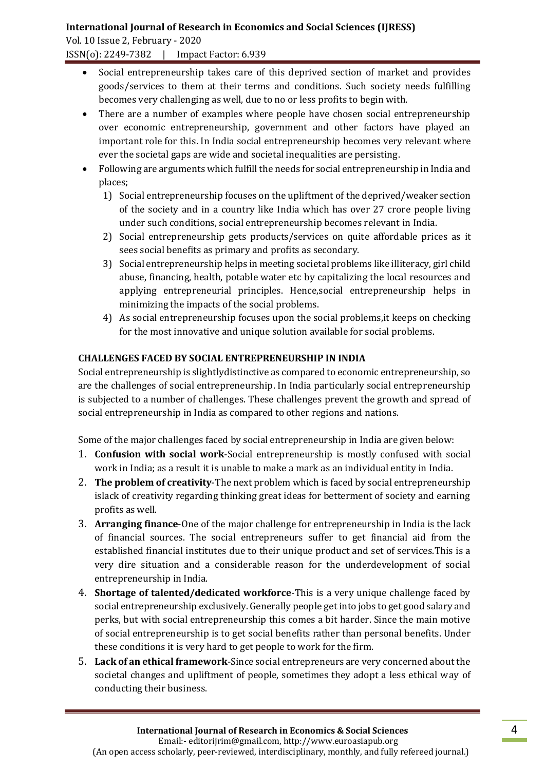Vol. 10 Issue 2, February - 2020

ISSN(o): 2249-7382 | Impact Factor: 6.939

- Social entrepreneurship takes care of this deprived section of market and provides goods/services to them at their terms and conditions. Such society needs fulfilling becomes very challenging as well, due to no or less profits to begin with.
- There are a number of examples where people have chosen social entrepreneurship over economic entrepreneurship, government and other factors have played an important role for this. In India social entrepreneurship becomes very relevant where ever the societal gaps are wide and societal inequalities are persisting.
- Following are arguments which fulfill the needs for social entrepreneurship in India and places;
	- 1) Social entrepreneurship focuses on the upliftment of the deprived/weaker section of the society and in a country like India which has over 27 crore people living under such conditions, social entrepreneurship becomes relevant in India.
	- 2) Social entrepreneurship gets products/services on quite affordable prices as it sees social benefits as primary and profits as secondary.
	- 3) Social entrepreneurship helps in meeting societal problems like illiteracy, girl child abuse, financing, health, potable water etc by capitalizing the local resources and applying entrepreneurial principles. Hence,social entrepreneurship helps in minimizing the impacts of the social problems.
	- 4) As social entrepreneurship focuses upon the social problems,it keeps on checking for the most innovative and unique solution available for social problems.

# **CHALLENGES FACED BY SOCIAL ENTREPRENEURSHIP IN INDIA**

Social entrepreneurship is slightlydistinctive as compared to economic entrepreneurship, so are the challenges of social entrepreneurship. In India particularly social entrepreneurship is subjected to a number of challenges. These challenges prevent the growth and spread of social entrepreneurship in India as compared to other regions and nations.

Some of the major challenges faced by social entrepreneurship in India are given below:

- 1. **Confusion with social work**-Social entrepreneurship is mostly confused with social work in India; as a result it is unable to make a mark as an individual entity in India.
- 2. **The problem of creativity**-The next problem which is faced by social entrepreneurship islack of creativity regarding thinking great ideas for betterment of society and earning profits as well.
- 3. **Arranging finance**-One of the major challenge for entrepreneurship in India is the lack of financial sources. The social entrepreneurs suffer to get financial aid from the established financial institutes due to their unique product and set of services.This is a very dire situation and a considerable reason for the underdevelopment of social entrepreneurship in India.
- 4. **Shortage of talented/dedicated workforce**-This is a very unique challenge faced by social entrepreneurship exclusively. Generally people get into jobs to get good salary and perks, but with social entrepreneurship this comes a bit harder. Since the main motive of social entrepreneurship is to get social benefits rather than personal benefits. Under these conditions it is very hard to get people to work for the firm.
- 5. **Lack of an ethical framework**-Since social entrepreneurs are very concerned about the societal changes and upliftment of people, sometimes they adopt a less ethical way of conducting their business.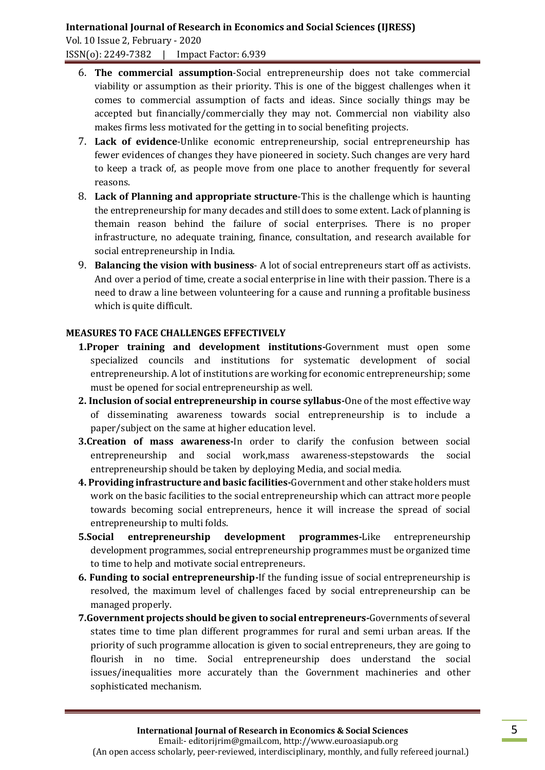Vol. 10 Issue 2, February - 2020 ISSN(o): 2249-7382 | Impact Factor: 6.939

- 6. **The commercial assumption**-Social entrepreneurship does not take commercial viability or assumption as their priority. This is one of the biggest challenges when it comes to commercial assumption of facts and ideas. Since socially things may be accepted but financially/commercially they may not. Commercial non viability also makes firms less motivated for the getting in to social benefiting projects.
- 7. **Lack of evidence**-Unlike economic entrepreneurship, social entrepreneurship has fewer evidences of changes they have pioneered in society. Such changes are very hard to keep a track of, as people move from one place to another frequently for several reasons.
- 8. **Lack of Planning and appropriate structure**-This is the challenge which is haunting the entrepreneurship for many decades and still does to some extent. Lack of planning is themain reason behind the failure of social enterprises. There is no proper infrastructure, no adequate training, finance, consultation, and research available for social entrepreneurship in India.
- 9. **Balancing the vision with business** A lot of social entrepreneurs start off as activists. And over a period of time, create a social enterprise in line with their passion. There is a need to draw a line between volunteering for a cause and running a profitable business which is quite difficult.

### **MEASURES TO FACE CHALLENGES EFFECTIVELY**

- **1.Proper training and development institutions-**Government must open some specialized councils and institutions for systematic development of social entrepreneurship. A lot of institutions are working for economic entrepreneurship; some must be opened for social entrepreneurship as well.
- **2. Inclusion of social entrepreneurship in course syllabus-**One of the most effective way of disseminating awareness towards social entrepreneurship is to include a paper/subject on the same at higher education level.
- **3.Creation of mass awareness-**In order to clarify the confusion between social entrepreneurship and social work,mass awareness-stepstowards the social entrepreneurship should be taken by deploying Media, and social media.
- **4. Providing infrastructure and basic facilities-**Government and other stake holders must work on the basic facilities to the social entrepreneurship which can attract more people towards becoming social entrepreneurs, hence it will increase the spread of social entrepreneurship to multi folds.
- **5.Social entrepreneurship development programmes-**Like entrepreneurship development programmes, social entrepreneurship programmes must be organized time to time to help and motivate social entrepreneurs.
- **6. Funding to social entrepreneurship-**If the funding issue of social entrepreneurship is resolved, the maximum level of challenges faced by social entrepreneurship can be managed properly.
- **7.Government projects should be given to social entrepreneurs-**Governments of several states time to time plan different programmes for rural and semi urban areas. If the priority of such programme allocation is given to social entrepreneurs, they are going to flourish in no time. Social entrepreneurship does understand the social issues/inequalities more accurately than the Government machineries and other sophisticated mechanism.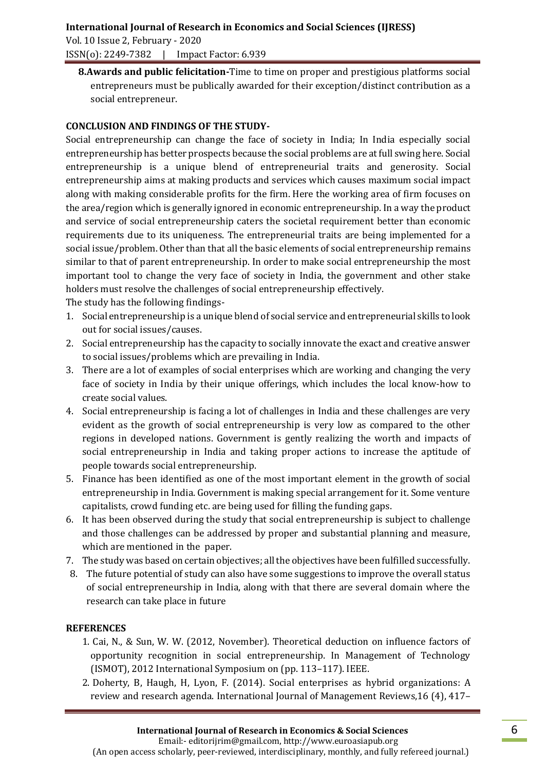Vol. 10 Issue 2, February - 2020 ISSN(o): 2249-7382 | Impact Factor: 6.939

**8.Awards and public felicitation-**Time to time on proper and prestigious platforms social entrepreneurs must be publically awarded for their exception/distinct contribution as a social entrepreneur.

# **CONCLUSION AND FINDINGS OF THE STUDY-**

Social entrepreneurship can change the face of society in India; In India especially social entrepreneurship has better prospects because the social problems are at full swing here. Social entrepreneurship is a unique blend of entrepreneurial traits and generosity. Social entrepreneurship aims at making products and services which causes maximum social impact along with making considerable profits for the firm. Here the working area of firm focuses on the area/region which is generally ignored in economic entrepreneurship. In a way the product and service of social entrepreneurship caters the societal requirement better than economic requirements due to its uniqueness. The entrepreneurial traits are being implemented for a social issue/problem. Other than that all the basic elements of social entrepreneurship remains similar to that of parent entrepreneurship. In order to make social entrepreneurship the most important tool to change the very face of society in India, the government and other stake holders must resolve the challenges of social entrepreneurship effectively. The study has the following findings-

- 1. Social entrepreneurship is a unique blend of social service and entrepreneurial skills to look out for social issues/causes.
- 2. Social entrepreneurship has the capacity to socially innovate the exact and creative answer to social issues/problems which are prevailing in India.
- 3. There are a lot of examples of social enterprises which are working and changing the very face of society in India by their unique offerings, which includes the local know-how to create social values.
- 4. Social entrepreneurship is facing a lot of challenges in India and these challenges are very evident as the growth of social entrepreneurship is very low as compared to the other regions in developed nations. Government is gently realizing the worth and impacts of social entrepreneurship in India and taking proper actions to increase the aptitude of people towards social entrepreneurship.
- 5. Finance has been identified as one of the most important element in the growth of social entrepreneurship in India. Government is making special arrangement for it. Some venture capitalists, crowd funding etc. are being used for filling the funding gaps.
- 6. It has been observed during the study that social entrepreneurship is subject to challenge and those challenges can be addressed by proper and substantial planning and measure, which are mentioned in the paper.
- 7. The study was based on certain objectives; all the objectives have been fulfilled successfully.
- 8. The future potential of study can also have some suggestions to improve the overall status of social entrepreneurship in India, along with that there are several domain where the research can take place in future

# **REFERENCES**

- 1. Cai, N., & Sun, W. W. (2012, November). Theoretical deduction on influence factors of opportunity recognition in social entrepreneurship. In Management of Technology (ISMOT), 2012 International Symposium on (pp. 113–117). IEEE.
- 2. Doherty, B, Haugh, H, Lyon, F. (2014). Social enterprises as hybrid organizations: A review and research agenda. International Journal of Management Reviews,16 (4), 417–